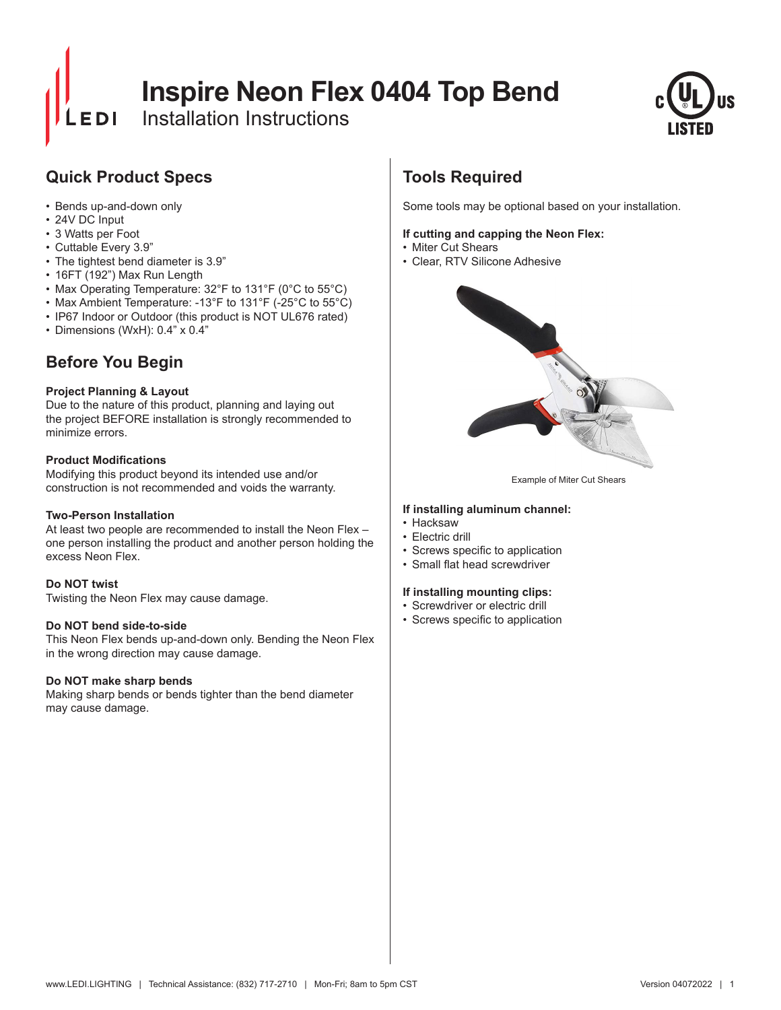# **Inspire Neon Flex 0404 Top Bend**

Installation Instructions



# **Quick Product Specs**

- Bends up-and-down only
- 24V DC Input
- 3 Watts per Foot
- Cuttable Every 3.9"
- The tightest bend diameter is 3.9"
- 16FT (192") Max Run Length
- Max Operating Temperature: 32°F to 131°F (0°C to 55°C)
- Max Ambient Temperature: -13°F to 131°F (-25°C to 55°C)
- IP67 Indoor or Outdoor (this product is NOT UL676 rated)
- Dimensions (WxH): 0.4" x 0.4"

# **Before You Begin**

### **Project Planning & Layout**

Due to the nature of this product, planning and laying out the project BEFORE installation is strongly recommended to minimize errors.

#### **Product Modifications**

Modifying this product beyond its intended use and/or construction is not recommended and voids the warranty.

### **Two-Person Installation**

At least two people are recommended to install the Neon Flex – one person installing the product and another person holding the excess Neon Flex.

#### **Do NOT twist**

Twisting the Neon Flex may cause damage.

#### **Do NOT bend side-to-side**

This Neon Flex bends up-and-down only. Bending the Neon Flex in the wrong direction may cause damage.

### **Do NOT make sharp bends**

Making sharp bends or bends tighter than the bend diameter may cause damage.

# **Tools Required**

Some tools may be optional based on your installation.

#### **If cutting and capping the Neon Flex:**

- Miter Cut Shears
- Clear, RTV Silicone Adhesive



Example of Miter Cut Shears

#### **If installing aluminum channel:**

- Hacksaw
- Electric drill
- • Screws specific to application
- • Small flat head screwdriver

#### **If installing mounting clips:**

- Screwdriver or electric drill
- • Screws specific to application